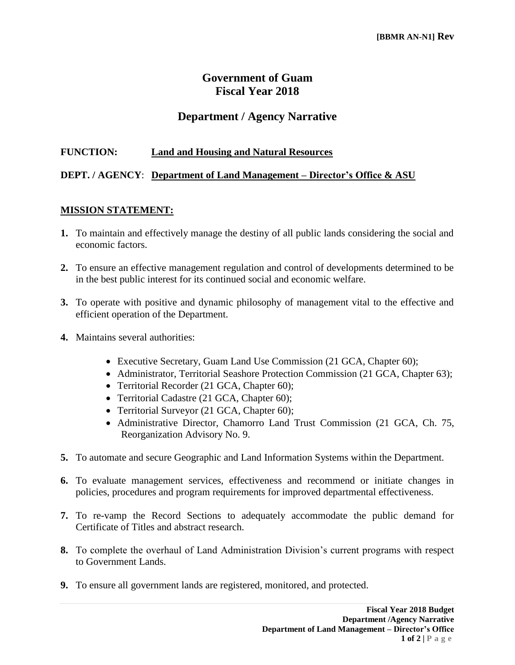# **Government of Guam Fiscal Year 2018**

## **Department / Agency Narrative**

#### **FUNCTION: Land and Housing and Natural Resources**

#### **DEPT. / AGENCY**: **Department of Land Management – Director's Office & ASU**

#### **MISSION STATEMENT:**

- **1.** To maintain and effectively manage the destiny of all public lands considering the social and economic factors.
- **2.** To ensure an effective management regulation and control of developments determined to be in the best public interest for its continued social and economic welfare.
- **3.** To operate with positive and dynamic philosophy of management vital to the effective and efficient operation of the Department.
- **4.** Maintains several authorities:
	- Executive Secretary, Guam Land Use Commission (21 GCA, Chapter 60);
	- Administrator, Territorial Seashore Protection Commission (21 GCA, Chapter 63);
	- Territorial Recorder (21 GCA, Chapter 60);
	- Territorial Cadastre (21 GCA, Chapter 60);
	- Territorial Surveyor (21 GCA, Chapter 60);
	- Administrative Director, Chamorro Land Trust Commission (21 GCA, Ch. 75, Reorganization Advisory No. 9.
- **5.** To automate and secure Geographic and Land Information Systems within the Department.
- **6.** To evaluate management services, effectiveness and recommend or initiate changes in policies, procedures and program requirements for improved departmental effectiveness.
- **7.** To re-vamp the Record Sections to adequately accommodate the public demand for Certificate of Titles and abstract research.
- **8.** To complete the overhaul of Land Administration Division's current programs with respect to Government Lands.
- **9.** To ensure all government lands are registered, monitored, and protected.